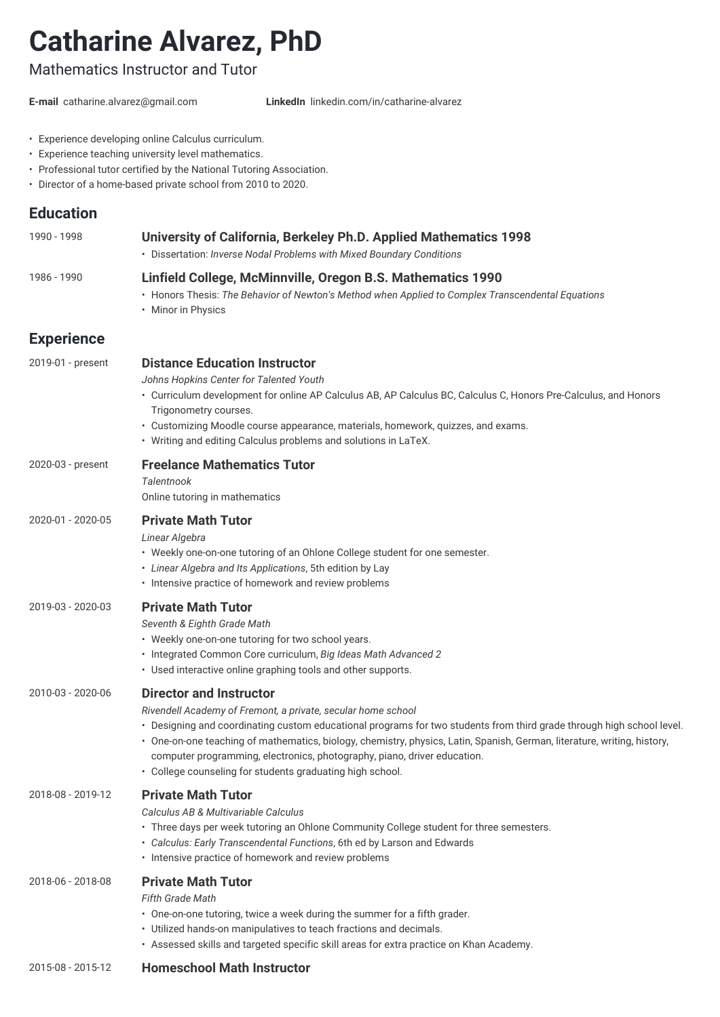# **Catharine Alvarez, PhD**

# Mathematics Instructor and Tutor

**E-mail** [catharine.alvarez@gmail.com](mailto:catharine.alvarez@gmail.com) **LinkedIn** [linkedin.com/in/catharine-alvarez](http://linkedin.com/in/catharine-alvarez)

- Experience developing online Calculus curriculum.
- Experience teaching university level mathematics.
- Professional tutor certified by the National Tutoring Association.
- Director of a home-based private school from 2010 to 2020.

# **Education**

| 1990 - 1998       | University of California, Berkeley Ph.D. Applied Mathematics 1998<br>• Dissertation: Inverse Nodal Problems with Mixed Boundary Conditions                                                                                                                                                                                                                                         |
|-------------------|------------------------------------------------------------------------------------------------------------------------------------------------------------------------------------------------------------------------------------------------------------------------------------------------------------------------------------------------------------------------------------|
| 1986 - 1990       | Linfield College, McMinnville, Oregon B.S. Mathematics 1990<br>• Honors Thesis: The Behavior of Newton's Method when Applied to Complex Transcendental Equations<br>• Minor in Physics                                                                                                                                                                                             |
| <b>Experience</b> |                                                                                                                                                                                                                                                                                                                                                                                    |
| 2019-01 - present | <b>Distance Education Instructor</b><br>Johns Hopkins Center for Talented Youth<br>• Curriculum development for online AP Calculus AB, AP Calculus BC, Calculus C, Honors Pre-Calculus, and Honors<br>Trigonometry courses.<br>• Customizing Moodle course appearance, materials, homework, quizzes, and exams.<br>• Writing and editing Calculus problems and solutions in LaTeX. |
| 2020-03 - present | <b>Freelance Mathematics Tutor</b><br><b>Talentnook</b><br>Online tutoring in mathematics                                                                                                                                                                                                                                                                                          |
| 2020-01 - 2020-05 | <b>Private Math Tutor</b><br>Linear Algebra<br>• Weekly one-on-one tutoring of an Ohlone College student for one semester.<br>• Linear Algebra and Its Applications, 5th edition by Lay<br>• Intensive practice of homework and review problems                                                                                                                                    |
| 2019-03 - 2020-03 | <b>Private Math Tutor</b><br>Seventh & Eighth Grade Math<br>• Weekly one-on-one tutoring for two school years.                                                                                                                                                                                                                                                                     |

- 
- Integrated Common Core curriculum, *Big Ideas Math Advanced 2*
- Used interactive online graphing tools and other supports.

#### 2010-03 - 2020-06 **Director and Instructor**

*Rivendell Academy of Fremont, a private, secular home school*

- Designing and coordinating custom educational programs for two students from third grade through high school level.
- One-on-one teaching of mathematics, biology, chemistry, physics, Latin, Spanish, German, literature, writing, history, computer programming, electronics, photography, piano, driver education.
- College counseling for students graduating high school.

#### 2018-08 - 2019-12 **Private Math Tutor**

*Calculus AB & Multivariable Calculus*

- Three days per week tutoring an Ohlone Community College student for three semesters.
- *Calculus: Early Transcendental Functions*, 6th ed by Larson and Edwards
- Intensive practice of homework and review problems

#### 2018-06 - 2018-08 **Private Math Tutor**

*Fifth Grade Math*

- One-on-one tutoring, twice a week during the summer for a fifth grader.
- Utilized hands-on manipulatives to teach fractions and decimals.
- Assessed skills and targeted specific skill areas for extra practice on Khan Academy.

#### 2015-08 - 2015-12 **Homeschool Math Instructor**